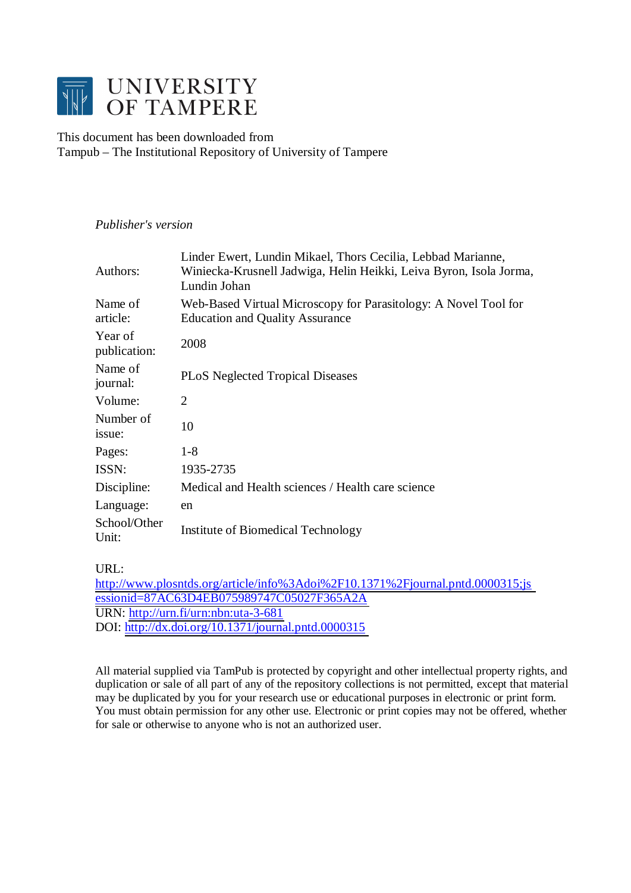

This document has been downloaded from Tampub – The Institutional Repository of University of Tampere

# *Publisher's version*

| Authors:                | Linder Ewert, Lundin Mikael, Thors Cecilia, Lebbad Marianne,<br>Winiecka-Krusnell Jadwiga, Helin Heikki, Leiva Byron, Isola Jorma,<br>Lundin Johan |  |  |
|-------------------------|----------------------------------------------------------------------------------------------------------------------------------------------------|--|--|
| Name of<br>article:     | Web-Based Virtual Microscopy for Parasitology: A Novel Tool for<br><b>Education and Quality Assurance</b>                                          |  |  |
| Year of<br>publication: | 2008                                                                                                                                               |  |  |
| Name of<br>journal:     | <b>PLoS Neglected Tropical Diseases</b>                                                                                                            |  |  |
| Volume:                 | $\overline{2}$                                                                                                                                     |  |  |
| Number of<br>issue:     | 10                                                                                                                                                 |  |  |
| Pages:                  | $1 - 8$                                                                                                                                            |  |  |
| ISSN:                   | 1935-2735                                                                                                                                          |  |  |
| Discipline:             | Medical and Health sciences / Health care science                                                                                                  |  |  |
| Language:               | en                                                                                                                                                 |  |  |
| School/Other<br>Unit:   | Institute of Biomedical Technology                                                                                                                 |  |  |

URL:

[http://www.plosntds.org/article/info%3Adoi%2F10.1371%2Fjournal.pntd.0000315;js](http://www.plosntds.org/article/info%3Adoi%2F10.1371%2Fjournal.pntd.0000315;jsessionid=87AC63D4EB075989747C05027F365A2A) [essionid=87AC63D4EB075989747C05027F365A2A](http://www.plosntds.org/article/info%3Adoi%2F10.1371%2Fjournal.pntd.0000315;jsessionid=87AC63D4EB075989747C05027F365A2A) URN: <http://urn.fi/urn:nbn:uta-3-681> DOI: <http://dx.doi.org/10.1371/journal.pntd.0000315>

All material supplied via TamPub is protected by copyright and other intellectual property rights, and duplication or sale of all part of any of the repository collections is not permitted, except that material may be duplicated by you for your research use or educational purposes in electronic or print form. You must obtain permission for any other use. Electronic or print copies may not be offered, whether for sale or otherwise to anyone who is not an authorized user.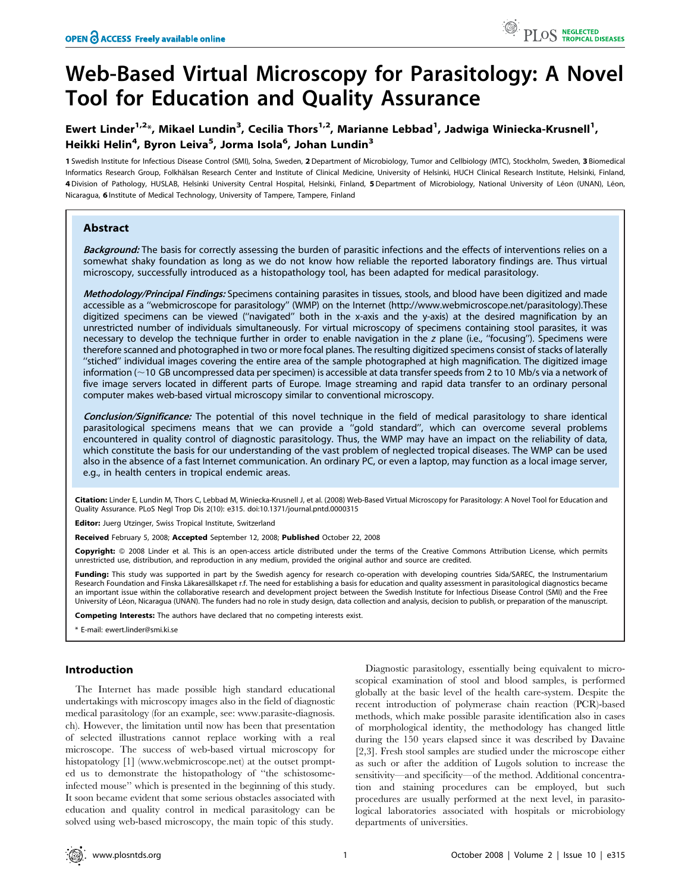# Web-Based Virtual Microscopy for Parasitology: A Novel Tool for Education and Quality Assurance

# Ewert Linder<sup>1,2</sup>\*, Mikael Lundin<sup>3</sup>, Cecilia Thors<sup>1,2</sup>, Marianne Lebbad<sup>1</sup>, Jadwiga Winiecka-Krusnell<sup>1</sup>, Heikki Helin<sup>4</sup>, Byron Leiva<sup>5</sup>, Jorma Isola<sup>6</sup>, Johan Lundin<sup>3</sup>

1 Swedish Institute for Infectious Disease Control (SMI), Solna, Sweden, 2 Department of Microbiology, Tumor and Cellbiology (MTC), Stockholm, Sweden, 3 Biomedical Informatics Research Group, Folkhälsan Research Center and Institute of Clinical Medicine, University of Helsinki, HUCH Clinical Research Institute, Helsinki, Finland, 4 Division of Pathology, HUSLAB, Helsinki University Central Hospital, Helsinki, Finland, 5 Department of Microbiology, National University of Léon (UNAN), Léon, Nicaragua, 6 Institute of Medical Technology, University of Tampere, Tampere, Finland

# Abstract

Background: The basis for correctly assessing the burden of parasitic infections and the effects of interventions relies on a somewhat shaky foundation as long as we do not know how reliable the reported laboratory findings are. Thus virtual microscopy, successfully introduced as a histopathology tool, has been adapted for medical parasitology.

Methodology/Principal Findings: Specimens containing parasites in tissues, stools, and blood have been digitized and made accessible as a ''webmicroscope for parasitology'' (WMP) on the Internet (http://www.webmicroscope.net/parasitology).These digitized specimens can be viewed (''navigated'' both in the x-axis and the y-axis) at the desired magnification by an unrestricted number of individuals simultaneously. For virtual microscopy of specimens containing stool parasites, it was necessary to develop the technique further in order to enable navigation in the z plane (i.e., ''focusing''). Specimens were therefore scanned and photographed in two or more focal planes. The resulting digitized specimens consist of stacks of laterally ''stiched'' individual images covering the entire area of the sample photographed at high magnification. The digitized image information ( $\sim$ 10 GB uncompressed data per specimen) is accessible at data transfer speeds from 2 to 10 Mb/s via a network of five image servers located in different parts of Europe. Image streaming and rapid data transfer to an ordinary personal computer makes web-based virtual microscopy similar to conventional microscopy.

Conclusion/Significance: The potential of this novel technique in the field of medical parasitology to share identical parasitological specimens means that we can provide a ''gold standard'', which can overcome several problems encountered in quality control of diagnostic parasitology. Thus, the WMP may have an impact on the reliability of data, which constitute the basis for our understanding of the vast problem of neglected tropical diseases. The WMP can be used also in the absence of a fast Internet communication. An ordinary PC, or even a laptop, may function as a local image server, e.g., in health centers in tropical endemic areas.

Citation: Linder E, Lundin M, Thors C, Lebbad M, Winiecka-Krusnell J, et al. (2008) Web-Based Virtual Microscopy for Parasitology: A Novel Tool for Education and Quality Assurance. PLoS Negl Trop Dis 2(10): e315. doi:10.1371/journal.pntd.0000315

Editor: Juerg Utzinger, Swiss Tropical Institute, Switzerland

Received February 5, 2008; Accepted September 12, 2008; Published October 22, 2008

Copyright: @ 2008 Linder et al. This is an open-access article distributed under the terms of the Creative Commons Attribution License, which permits unrestricted use, distribution, and reproduction in any medium, provided the original author and source are credited.

Funding: This study was supported in part by the Swedish agency for research co-operation with developing countries Sida/SAREC, the Instrumentarium Research Foundation and Finska Läkaresällskapet r.f. The need for establishing a basis for education and quality assessment in parasitological diagnostics became an important issue within the collaborative research and development project between the Swedish Institute for Infectious Disease Control (SMI) and the Free University of Léon, Nicaragua (UNAN). The funders had no role in study design, data collection and analysis, decision to publish, or preparation of the manuscript.

Competing Interests: The authors have declared that no competing interests exist.

\* E-mail: ewert.linder@smi.ki.se

## Introduction

The Internet has made possible high standard educational undertakings with microscopy images also in the field of diagnostic medical parasitology (for an example, see: www.parasite-diagnosis. ch). However, the limitation until now has been that presentation of selected illustrations cannot replace working with a real microscope. The success of web-based virtual microscopy for histopatology [1] (www.webmicroscope.net) at the outset prompted us to demonstrate the histopathology of ''the schistosomeinfected mouse'' which is presented in the beginning of this study. It soon became evident that some serious obstacles associated with education and quality control in medical parasitology can be solved using web-based microscopy, the main topic of this study.

Diagnostic parasitology, essentially being equivalent to microscopical examination of stool and blood samples, is performed globally at the basic level of the health care-system. Despite the recent introduction of polymerase chain reaction (PCR)-based methods, which make possible parasite identification also in cases of morphological identity, the methodology has changed little during the 150 years elapsed since it was described by Davaine [2,3]. Fresh stool samples are studied under the microscope either as such or after the addition of Lugols solution to increase the sensitivity—and specificity—of the method. Additional concentration and staining procedures can be employed, but such procedures are usually performed at the next level, in parasitological laboratories associated with hospitals or microbiology departments of universities.

PLOS NEGLECTED<br>PLOS TROPICAL DISEASES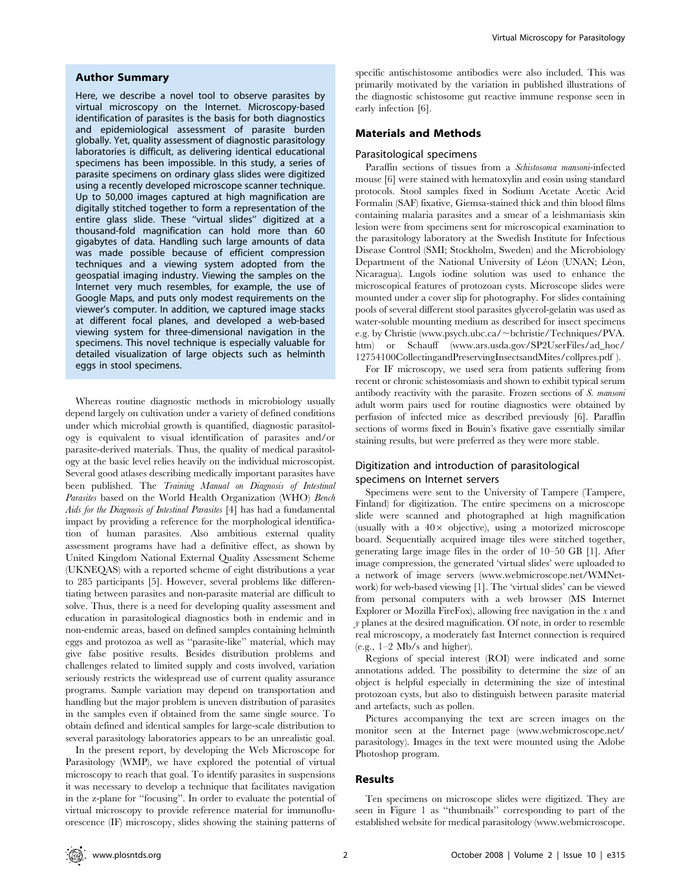#### Author Summary

Here, we describe a novel tool to observe parasites by virtual microscopy on the Internet. Microscopy-based identification of parasites is the basis for both diagnostics and epidemiological assessment of parasite burden globally. Yet, quality assessment of diagnostic parasitology laboratories is difficult, as delivering identical educational specimens has been impossible. In this study, a series of parasite specimens on ordinary glass slides were digitized using a recently developed microscope scanner technique. Up to 50,000 images captured at high magnification are digitally stitched together to form a representation of the entire glass slide. These ''virtual slides'' digitized at a thousand-fold magnification can hold more than 60 gigabytes of data. Handling such large amounts of data was made possible because of efficient compression techniques and a viewing system adopted from the geospatial imaging industry. Viewing the samples on the Internet very much resembles, for example, the use of Google Maps, and puts only modest requirements on the viewer's computer. In addition, we captured image stacks at different focal planes, and developed a web-based viewing system for three-dimensional navigation in the specimens. This novel technique is especially valuable for detailed visualization of large objects such as helminth eggs in stool specimens.

Whereas routine diagnostic methods in microbiology usually depend largely on cultivation under a variety of defined conditions under which microbial growth is quantified, diagnostic parasitology is equivalent to visual identification of parasites and/or parasite-derived materials. Thus, the quality of medical parasitology at the basic level relies heavily on the individual microscopist. Several good atlases describing medically important parasites have been published. The Training Manual on Diagnosis of Intestinal Parasites based on the World Health Organization (WHO) Bench Aids for the Diagnosis of Intestinal Parasites [4] has had a fundamental impact by providing a reference for the morphological identification of human parasites. Also ambitious external quality assessment programs have had a definitive effect, as shown by United Kingdom National External Quality Assessment Scheme (UKNEQAS) with a reported scheme of eight distributions a year to 285 participants [5]. However, several problems like differentiating between parasites and non-parasite material are difficult to solve. Thus, there is a need for developing quality assessment and education in parasitological diagnostics both in endemic and in non-endemic areas, based on defined samples containing helminth eggs and protozoa as well as ''parasite-like'' material, which may give false positive results. Besides distribution problems and challenges related to limited supply and costs involved, variation seriously restricts the widespread use of current quality assurance programs. Sample variation may depend on transportation and handling but the major problem is uneven distribution of parasites in the samples even if obtained from the same single source. To obtain defined and identical samples for large-scale distribution to several parasitology laboratories appears to be an unrealistic goal.

In the present report, by developing the Web Microscope for Parasitology (WMP), we have explored the potential of virtual microscopy to reach that goal. To identify parasites in suspensions it was necessary to develop a technique that facilitates navigation in the z-plane for ''focusing''. In order to evaluate the potential of virtual microscopy to provide reference material for immunofluorescence (IF) microscopy, slides showing the staining patterns of specific antischistosome antibodies were also included. This was primarily motivated by the variation in published illustrations of the diagnostic schistosome gut reactive immune response seen in early infection [6].

# Materials and Methods

#### Parasitological specimens

Paraffin sections of tissues from a Schistosoma mansoni-infected mouse [6] were stained with hematoxylin and eosin using standard protocols. Stool samples fixed in Sodium Acetate Acetic Acid Formalin (SAF) fixative, Giemsa-stained thick and thin blood films containing malaria parasites and a smear of a leishmaniasis skin lesion were from specimens sent for microscopical examination to the parasitology laboratory at the Swedish Institute for Infectious Disease Control (SMI; Stockholm, Sweden) and the Microbiology Department of the National University of Léon (UNAN; Léon, Nicaragua). Lugols iodine solution was used to enhance the microscopical features of protozoan cysts. Microscope slides were mounted under a cover slip for photography. For slides containing pools of several different stool parasites glycerol-gelatin was used as water-soluble mounting medium as described for insect specimens e.g. by Christie (www.psych.ubc.ca/~bchristie/Techniques/PVA. htm) or Schauff (www.ars.usda.gov/SP2UserFiles/ad\_hoc/ 12754100CollectingandPreservingInsectsandMites/collpres.pdf ).

For IF microscopy, we used sera from patients suffering from recent or chronic schistosomiasis and shown to exhibit typical serum antibody reactivity with the parasite. Frozen sections of S. mansoni adult worm pairs used for routine diagnostics were obtained by perfusion of infected mice as described previously [6]. Paraffin sections of worms fixed in Bouin's fixative gave essentially similar staining results, but were preferred as they were more stable.

# Digitization and introduction of parasitological specimens on Internet servers

Specimens were sent to the University of Tampere (Tampere, Finland) for digitization. The entire specimens on a microscope slide were scanned and photographed at high magnification (usually with a  $40\times$  objective), using a motorized microscope board. Sequentially acquired image tiles were stitched together, generating large image files in the order of 10–50 GB [1]. After image compression, the generated 'virtual slides' were uploaded to a network of image servers (www.webmicroscope.net/WMNetwork) for web-based viewing [1]. The 'virtual slides' can be viewed from personal computers with a web browser (MS Internet Explorer or Mozilla FireFox), allowing free navigation in the  $x$  and y planes at the desired magnification. Of note, in order to resemble real microscopy, a moderately fast Internet connection is required  $(e.g., 1–2 Mb/s and higher).$ 

Regions of special interest (ROI) were indicated and some annotations added. The possibility to determine the size of an object is helpful especially in determining the size of intestinal protozoan cysts, but also to distinguish between parasite material and artefacts, such as pollen.

Pictures accompanying the text are screen images on the monitor seen at the Internet page (www.webmicroscope.net/ parasitology). Images in the text were mounted using the Adobe Photoshop program.

## Results

Ten specimens on microscope slides were digitized. They are seen in Figure 1 as ''thumbnails'' corresponding to part of the established website for medical parasitology (www.webmicroscope.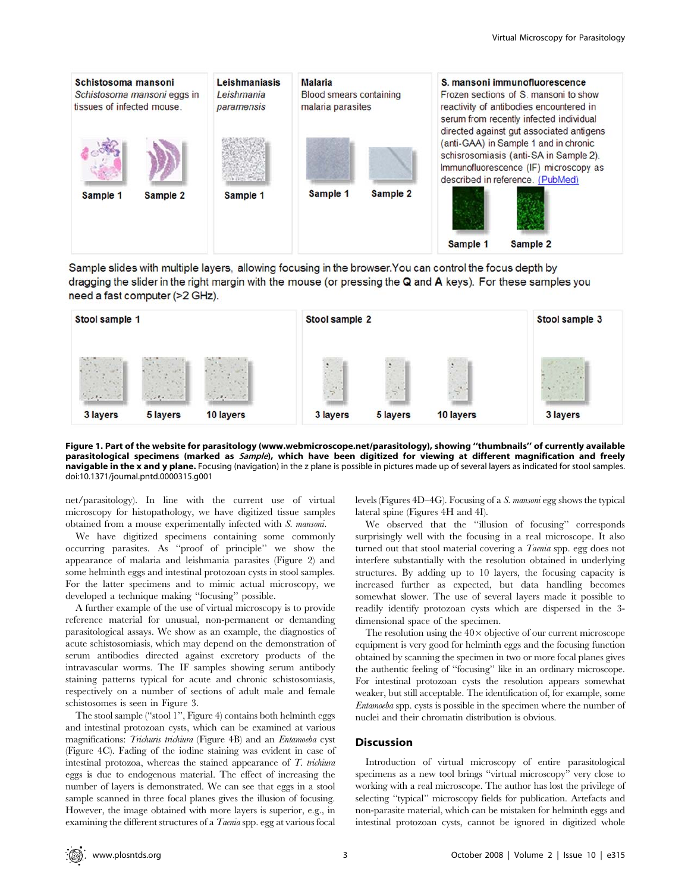

Sample slides with multiple layers, allowing focusing in the browser. You can control the focus depth by dragging the slider in the right margin with the mouse (or pressing the Q and A keys). For these samples you need a fast computer (>2 GHz).



Figure 1. Part of the website for parasitology (www.webmicroscope.net/parasitology), showing ''thumbnails'' of currently available parasitological specimens (marked as Sample), which have been digitized for viewing at different magnification and freely navigable in the x and y plane. Focusing (navigation) in the z plane is possible in pictures made up of several layers as indicated for stool samples. doi:10.1371/journal.pntd.0000315.g001

net/parasitology). In line with the current use of virtual microscopy for histopathology, we have digitized tissue samples obtained from a mouse experimentally infected with S. mansoni.

We have digitized specimens containing some commonly occurring parasites. As ''proof of principle'' we show the appearance of malaria and leishmania parasites (Figure 2) and some helminth eggs and intestinal protozoan cysts in stool samples. For the latter specimens and to mimic actual microscopy, we developed a technique making ''focusing'' possible.

A further example of the use of virtual microscopy is to provide reference material for unusual, non-permanent or demanding parasitological assays. We show as an example, the diagnostics of acute schistosomiasis, which may depend on the demonstration of serum antibodies directed against excretory products of the intravascular worms. The IF samples showing serum antibody staining patterns typical for acute and chronic schistosomiasis, respectively on a number of sections of adult male and female schistosomes is seen in Figure 3.

The stool sample ("stool 1", Figure 4) contains both helminth eggs and intestinal protozoan cysts, which can be examined at various magnifications: Trichuris trichiura (Figure 4B) and an Entamoeba cyst (Figure 4C). Fading of the iodine staining was evident in case of intestinal protozoa, whereas the stained appearance of  $T$ . trichiura eggs is due to endogenous material. The effect of increasing the number of layers is demonstrated. We can see that eggs in a stool sample scanned in three focal planes gives the illusion of focusing. However, the image obtained with more layers is superior, e.g., in examining the different structures of a Taenia spp. egg at various focal levels (Figures 4D–4G). Focusing of a S. mansoni egg shows the typical lateral spine (Figures 4H and 4I).

We observed that the ''illusion of focusing'' corresponds surprisingly well with the focusing in a real microscope. It also turned out that stool material covering a Taenia spp. egg does not interfere substantially with the resolution obtained in underlying structures. By adding up to 10 layers, the focusing capacity is increased further as expected, but data handling becomes somewhat slower. The use of several layers made it possible to readily identify protozoan cysts which are dispersed in the 3 dimensional space of the specimen.

The resolution using the  $40\times$  objective of our current microscope equipment is very good for helminth eggs and the focusing function obtained by scanning the specimen in two or more focal planes gives the authentic feeling of ''focusing'' like in an ordinary microscope. For intestinal protozoan cysts the resolution appears somewhat weaker, but still acceptable. The identification of, for example, some Entamoeba spp. cysts is possible in the specimen where the number of nuclei and their chromatin distribution is obvious.

## Discussion

Introduction of virtual microscopy of entire parasitological specimens as a new tool brings ''virtual microscopy'' very close to working with a real microscope. The author has lost the privilege of selecting ''typical'' microscopy fields for publication. Artefacts and non-parasite material, which can be mistaken for helminth eggs and intestinal protozoan cysts, cannot be ignored in digitized whole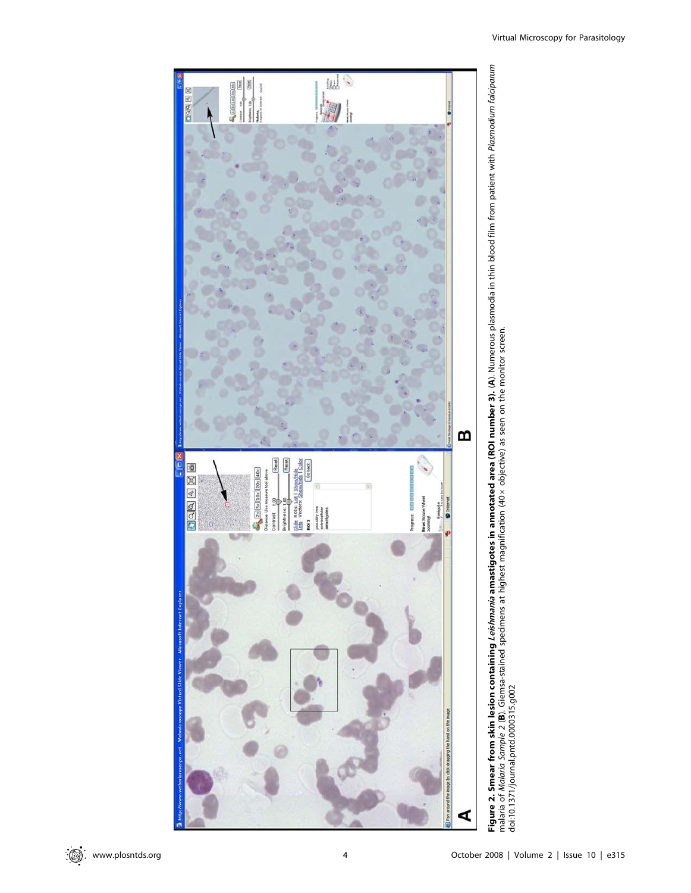

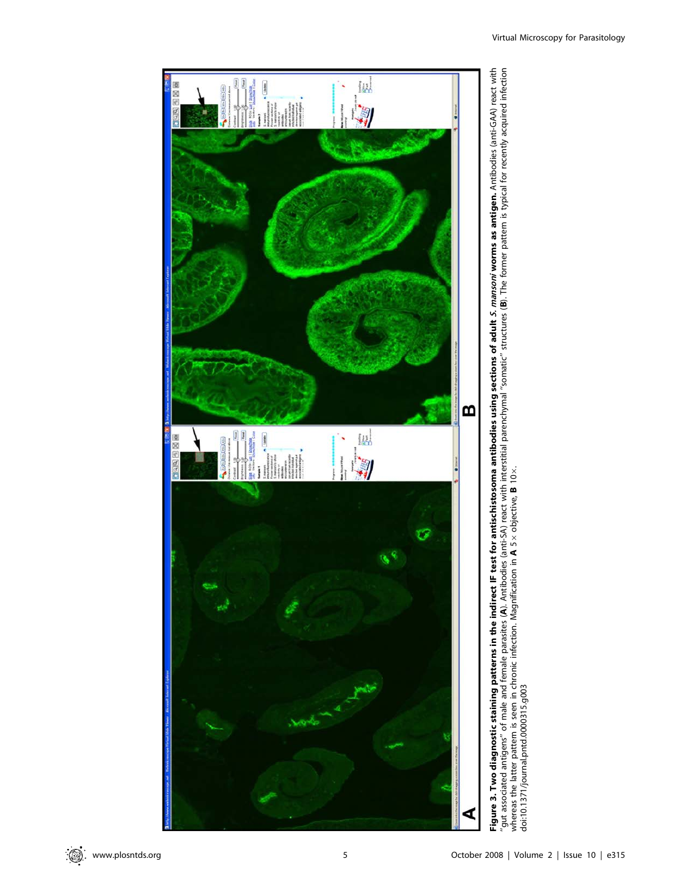



whereas the latter pattern is seen in chronic infection. Magnification in

doi:10.1371/journal.pntd.0000315.g003

**A** 5 $\times$  objective, **B** 10 $\times$ .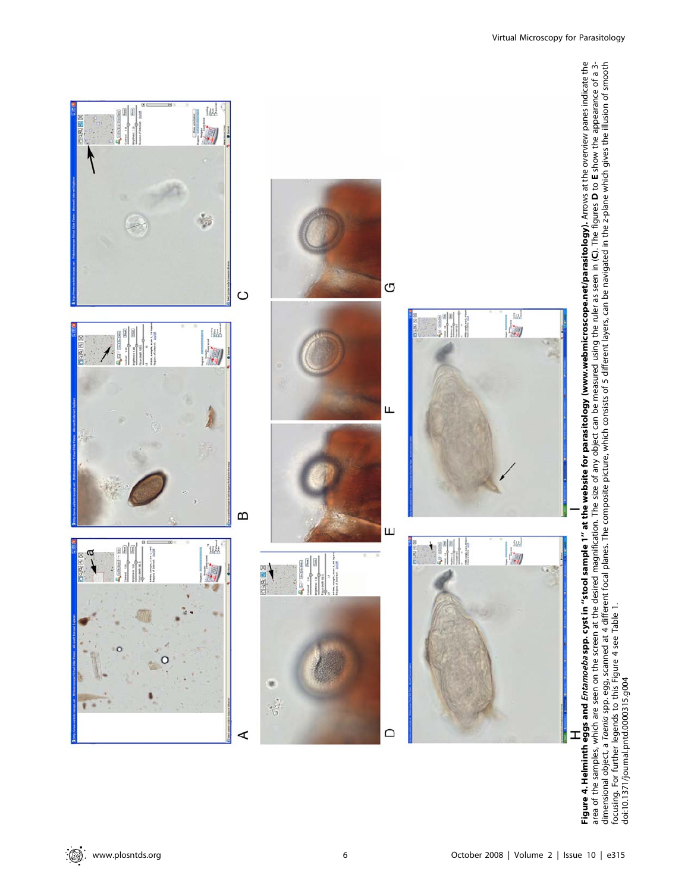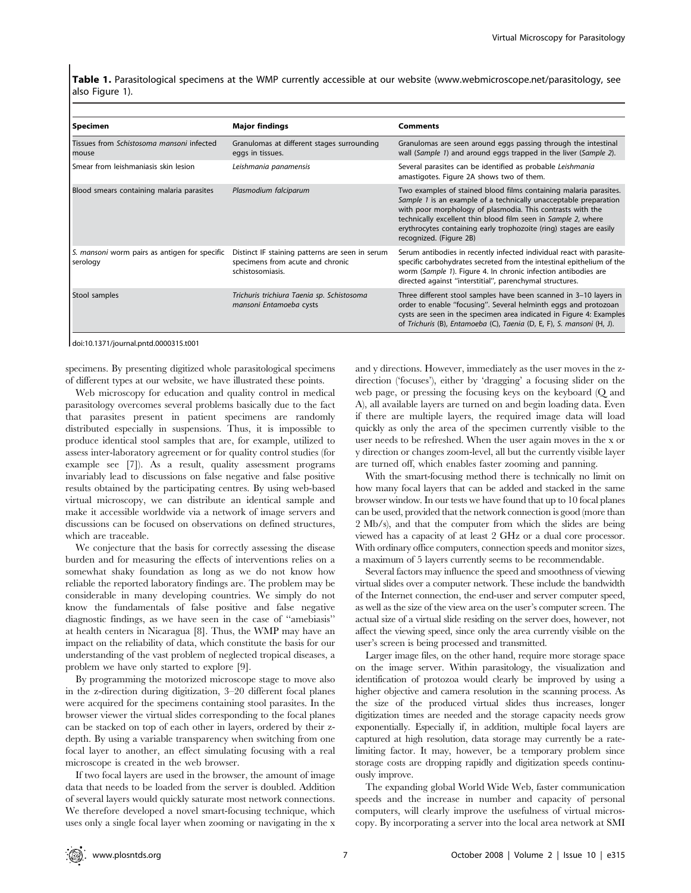Table 1. Parasitological specimens at the WMP currently accessible at our website (www.webmicroscope.net/parasitology, see also Figure 1).

| Specimen                                                    | <b>Major findings</b>                                                                                   | Comments                                                                                                                                                                                                                                                                                                                                                              |
|-------------------------------------------------------------|---------------------------------------------------------------------------------------------------------|-----------------------------------------------------------------------------------------------------------------------------------------------------------------------------------------------------------------------------------------------------------------------------------------------------------------------------------------------------------------------|
| Tissues from Schistosoma mansoni infected<br><b>I</b> mouse | Granulomas at different stages surrounding<br>eggs in tissues.                                          | Granulomas are seen around eggs passing through the intestinal<br>wall (Sample 1) and around eggs trapped in the liver (Sample 2).                                                                                                                                                                                                                                    |
| Smear from leishmaniasis skin lesion                        | Leishmania panamensis                                                                                   | Several parasites can be identified as probable Leishmania<br>amastigotes. Figure 2A shows two of them.                                                                                                                                                                                                                                                               |
| Blood smears containing malaria parasites                   | Plasmodium falciparum                                                                                   | Two examples of stained blood films containing malaria parasites.<br>Sample 1 is an example of a technically unacceptable preparation<br>with poor morphology of plasmodia. This contrasts with the<br>technically excellent thin blood film seen in Sample 2, where<br>erythrocytes containing early trophozoite (ring) stages are easily<br>recognized. (Figure 2B) |
| S. mansoni worm pairs as antigen for specific<br>serology   | Distinct IF staining patterns are seen in serum<br>specimens from acute and chronic<br>schistosomiasis. | Serum antibodies in recently infected individual react with parasite-<br>specific carbohydrates secreted from the intestinal epithelium of the<br>worm (Sample 1). Figure 4. In chronic infection antibodies are<br>directed against "interstitial", parenchymal structures.                                                                                          |
| Stool samples                                               | Trichuris trichiura Taenia sp. Schistosoma<br>mansoni Entamoeba cysts                                   | Three different stool samples have been scanned in 3-10 layers in<br>order to enable "focusing". Several helminth eggs and protozoan<br>cysts are seen in the specimen area indicated in Figure 4: Examples<br>of Trichuris (B), Entamoeba (C), Taenia (D, E, F), S. mansoni (H, J).                                                                                  |

doi:10.1371/journal.pntd.0000315.t001

specimens. By presenting digitized whole parasitological specimens of different types at our website, we have illustrated these points.

Web microscopy for education and quality control in medical parasitology overcomes several problems basically due to the fact that parasites present in patient specimens are randomly distributed especially in suspensions. Thus, it is impossible to produce identical stool samples that are, for example, utilized to assess inter-laboratory agreement or for quality control studies (for example see [7]). As a result, quality assessment programs invariably lead to discussions on false negative and false positive results obtained by the participating centres. By using web-based virtual microscopy, we can distribute an identical sample and make it accessible worldwide via a network of image servers and discussions can be focused on observations on defined structures, which are traceable.

We conjecture that the basis for correctly assessing the disease burden and for measuring the effects of interventions relies on a somewhat shaky foundation as long as we do not know how reliable the reported laboratory findings are. The problem may be considerable in many developing countries. We simply do not know the fundamentals of false positive and false negative diagnostic findings, as we have seen in the case of ''amebiasis'' at health centers in Nicaragua [8]. Thus, the WMP may have an impact on the reliability of data, which constitute the basis for our understanding of the vast problem of neglected tropical diseases, a problem we have only started to explore [9].

By programming the motorized microscope stage to move also in the z-direction during digitization, 3–20 different focal planes were acquired for the specimens containing stool parasites. In the browser viewer the virtual slides corresponding to the focal planes can be stacked on top of each other in layers, ordered by their zdepth. By using a variable transparency when switching from one focal layer to another, an effect simulating focusing with a real microscope is created in the web browser.

If two focal layers are used in the browser, the amount of image data that needs to be loaded from the server is doubled. Addition of several layers would quickly saturate most network connections. We therefore developed a novel smart-focusing technique, which uses only a single focal layer when zooming or navigating in the x

and y directions. However, immediately as the user moves in the zdirection ('focuses'), either by 'dragging' a focusing slider on the web page, or pressing the focusing keys on the keyboard (Q and A), all available layers are turned on and begin loading data. Even if there are multiple layers, the required image data will load quickly as only the area of the specimen currently visible to the user needs to be refreshed. When the user again moves in the x or y direction or changes zoom-level, all but the currently visible layer are turned off, which enables faster zooming and panning.

With the smart-focusing method there is technically no limit on how many focal layers that can be added and stacked in the same browser window. In our tests we have found that up to 10 focal planes can be used, provided that the network connection is good (more than 2 Mb/s), and that the computer from which the slides are being viewed has a capacity of at least 2 GHz or a dual core processor. With ordinary office computers, connection speeds and monitor sizes, a maximum of 5 layers currently seems to be recommendable.

Several factors may influence the speed and smoothness of viewing virtual slides over a computer network. These include the bandwidth of the Internet connection, the end-user and server computer speed, as well as the size of the view area on the user's computer screen. The actual size of a virtual slide residing on the server does, however, not affect the viewing speed, since only the area currently visible on the user's screen is being processed and transmitted.

Larger image files, on the other hand, require more storage space on the image server. Within parasitology, the visualization and identification of protozoa would clearly be improved by using a higher objective and camera resolution in the scanning process. As the size of the produced virtual slides thus increases, longer digitization times are needed and the storage capacity needs grow exponentially. Especially if, in addition, multiple focal layers are captured at high resolution, data storage may currently be a ratelimiting factor. It may, however, be a temporary problem since storage costs are dropping rapidly and digitization speeds continuously improve.

The expanding global World Wide Web, faster communication speeds and the increase in number and capacity of personal computers, will clearly improve the usefulness of virtual microscopy. By incorporating a server into the local area network at SMI